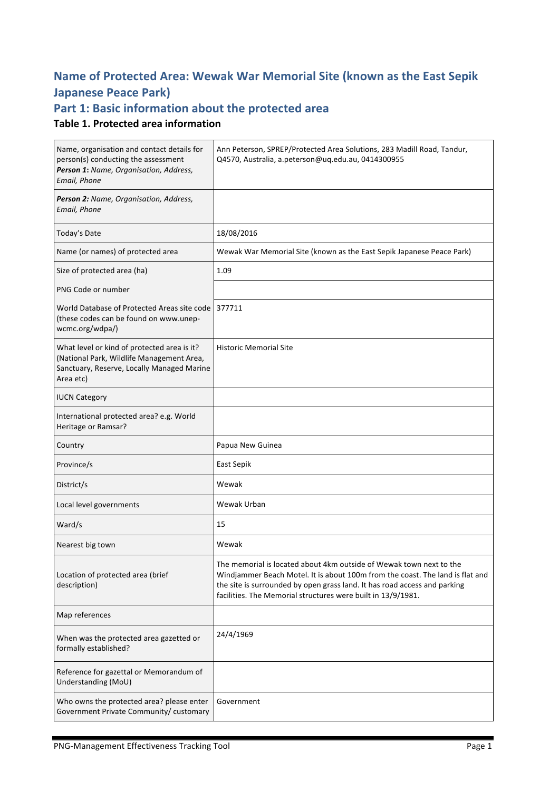# **Name of Protected Area: Wewak War Memorial Site (known as the East Sepik Japanese Peace Park)**

# Part 1: Basic information about the protected area

### **Table 1. Protected area information**

| Name, organisation and contact details for<br>person(s) conducting the assessment<br>Person 1: Name, Organisation, Address,<br>Email, Phone         | Ann Peterson, SPREP/Protected Area Solutions, 283 Madill Road, Tandur,<br>Q4570, Australia, a.peterson@uq.edu.au, 0414300955                                                                                                                                                                      |  |
|-----------------------------------------------------------------------------------------------------------------------------------------------------|---------------------------------------------------------------------------------------------------------------------------------------------------------------------------------------------------------------------------------------------------------------------------------------------------|--|
| Person 2: Name, Organisation, Address,<br>Email, Phone                                                                                              |                                                                                                                                                                                                                                                                                                   |  |
| Today's Date                                                                                                                                        | 18/08/2016                                                                                                                                                                                                                                                                                        |  |
| Name (or names) of protected area                                                                                                                   | Wewak War Memorial Site (known as the East Sepik Japanese Peace Park)                                                                                                                                                                                                                             |  |
| Size of protected area (ha)                                                                                                                         | 1.09                                                                                                                                                                                                                                                                                              |  |
| PNG Code or number                                                                                                                                  |                                                                                                                                                                                                                                                                                                   |  |
| World Database of Protected Areas site code 377711<br>(these codes can be found on www.unep-<br>wcmc.org/wdpa/)                                     |                                                                                                                                                                                                                                                                                                   |  |
| What level or kind of protected area is it?<br>(National Park, Wildlife Management Area,<br>Sanctuary, Reserve, Locally Managed Marine<br>Area etc) | <b>Historic Memorial Site</b>                                                                                                                                                                                                                                                                     |  |
| <b>IUCN Category</b>                                                                                                                                |                                                                                                                                                                                                                                                                                                   |  |
| International protected area? e.g. World<br>Heritage or Ramsar?                                                                                     |                                                                                                                                                                                                                                                                                                   |  |
| Country                                                                                                                                             | Papua New Guinea                                                                                                                                                                                                                                                                                  |  |
| Province/s                                                                                                                                          | East Sepik                                                                                                                                                                                                                                                                                        |  |
| District/s                                                                                                                                          | Wewak                                                                                                                                                                                                                                                                                             |  |
| Local level governments                                                                                                                             | Wewak Urban                                                                                                                                                                                                                                                                                       |  |
| Ward/s                                                                                                                                              | 15                                                                                                                                                                                                                                                                                                |  |
| Nearest big town                                                                                                                                    | Wewak                                                                                                                                                                                                                                                                                             |  |
| Location of protected area (brief<br>description)                                                                                                   | The memorial is located about 4km outside of Wewak town next to the<br>Windjammer Beach Motel. It is about 100m from the coast. The land is flat and<br>the site is surrounded by open grass land. It has road access and parking<br>facilities. The Memorial structures were built in 13/9/1981. |  |
| Map references                                                                                                                                      |                                                                                                                                                                                                                                                                                                   |  |
| When was the protected area gazetted or<br>formally established?                                                                                    | 24/4/1969                                                                                                                                                                                                                                                                                         |  |
| Reference for gazettal or Memorandum of<br>Understanding (MoU)                                                                                      |                                                                                                                                                                                                                                                                                                   |  |
| Who owns the protected area? please enter<br>Government Private Community/ customary                                                                | Government                                                                                                                                                                                                                                                                                        |  |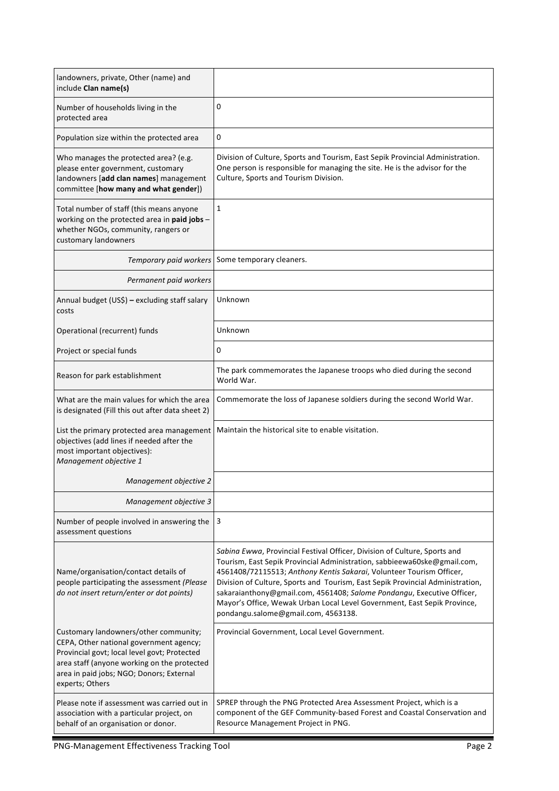| landowners, private, Other (name) and<br>include Clan name(s)                                                                                                                                                                                  |                                                                                                                                                                                                                                                                                                                                                                                                                                                                                                              |
|------------------------------------------------------------------------------------------------------------------------------------------------------------------------------------------------------------------------------------------------|--------------------------------------------------------------------------------------------------------------------------------------------------------------------------------------------------------------------------------------------------------------------------------------------------------------------------------------------------------------------------------------------------------------------------------------------------------------------------------------------------------------|
| Number of households living in the<br>protected area                                                                                                                                                                                           | 0                                                                                                                                                                                                                                                                                                                                                                                                                                                                                                            |
| Population size within the protected area                                                                                                                                                                                                      | 0                                                                                                                                                                                                                                                                                                                                                                                                                                                                                                            |
| Who manages the protected area? (e.g.<br>please enter government, customary<br>landowners [add clan names] management<br>committee [how many and what gender])                                                                                 | Division of Culture, Sports and Tourism, East Sepik Provincial Administration.<br>One person is responsible for managing the site. He is the advisor for the<br>Culture, Sports and Tourism Division.                                                                                                                                                                                                                                                                                                        |
| Total number of staff (this means anyone<br>working on the protected area in paid jobs -<br>whether NGOs, community, rangers or<br>customary landowners                                                                                        | 1                                                                                                                                                                                                                                                                                                                                                                                                                                                                                                            |
| Temporary paid workers                                                                                                                                                                                                                         | Some temporary cleaners.                                                                                                                                                                                                                                                                                                                                                                                                                                                                                     |
| Permanent paid workers                                                                                                                                                                                                                         |                                                                                                                                                                                                                                                                                                                                                                                                                                                                                                              |
| Annual budget (US\$) - excluding staff salary<br>costs                                                                                                                                                                                         | Unknown                                                                                                                                                                                                                                                                                                                                                                                                                                                                                                      |
| Operational (recurrent) funds                                                                                                                                                                                                                  | Unknown                                                                                                                                                                                                                                                                                                                                                                                                                                                                                                      |
| Project or special funds                                                                                                                                                                                                                       | 0                                                                                                                                                                                                                                                                                                                                                                                                                                                                                                            |
| Reason for park establishment                                                                                                                                                                                                                  | The park commemorates the Japanese troops who died during the second<br>World War.                                                                                                                                                                                                                                                                                                                                                                                                                           |
| What are the main values for which the area<br>is designated (Fill this out after data sheet 2)                                                                                                                                                | Commemorate the loss of Japanese soldiers during the second World War.                                                                                                                                                                                                                                                                                                                                                                                                                                       |
| List the primary protected area management<br>objectives (add lines if needed after the<br>most important objectives):<br>Management objective 1                                                                                               | Maintain the historical site to enable visitation.                                                                                                                                                                                                                                                                                                                                                                                                                                                           |
| Management objective 2                                                                                                                                                                                                                         |                                                                                                                                                                                                                                                                                                                                                                                                                                                                                                              |
| Management objective 3                                                                                                                                                                                                                         |                                                                                                                                                                                                                                                                                                                                                                                                                                                                                                              |
| Number of people involved in answering the<br>assessment questions                                                                                                                                                                             | 3                                                                                                                                                                                                                                                                                                                                                                                                                                                                                                            |
| Name/organisation/contact details of<br>people participating the assessment (Please<br>do not insert return/enter or dot points)                                                                                                               | Sabina Ewwa, Provincial Festival Officer, Division of Culture, Sports and<br>Tourism, East Sepik Provincial Administration, sabbieewa60ske@gmail.com,<br>4561408/72115513; Anthony Kentis Sakarai, Volunteer Tourism Officer,<br>Division of Culture, Sports and Tourism, East Sepik Provincial Administration,<br>sakaraianthony@gmail.com, 4561408; Salome Pondangu, Executive Officer,<br>Mayor's Office, Wewak Urban Local Level Government, East Sepik Province,<br>pondangu.salome@gmail.com, 4563138. |
| Customary landowners/other community;<br>CEPA, Other national government agency;<br>Provincial govt; local level govt; Protected<br>area staff (anyone working on the protected<br>area in paid jobs; NGO; Donors; External<br>experts; Others | Provincial Government, Local Level Government.                                                                                                                                                                                                                                                                                                                                                                                                                                                               |
| Please note if assessment was carried out in<br>association with a particular project, on<br>behalf of an organisation or donor.                                                                                                               | SPREP through the PNG Protected Area Assessment Project, which is a<br>component of the GEF Community-based Forest and Coastal Conservation and<br>Resource Management Project in PNG.                                                                                                                                                                                                                                                                                                                       |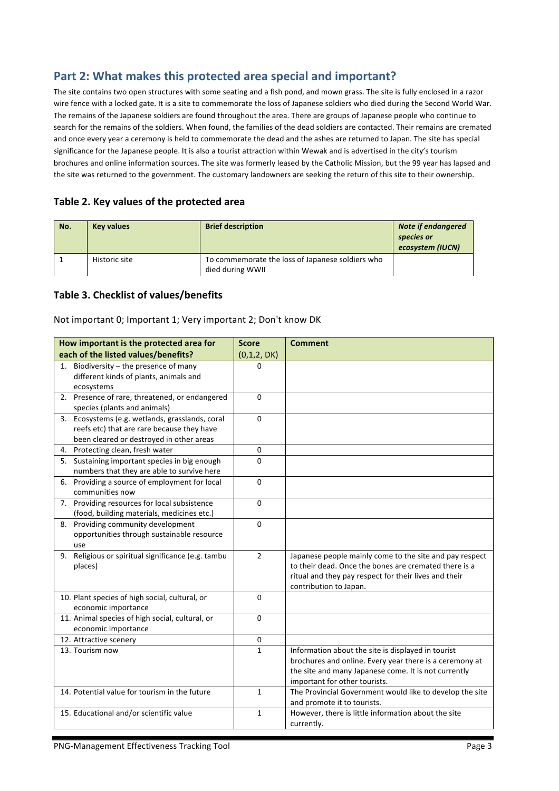# Part 2: What makes this protected area special and important?

The site contains two open structures with some seating and a fish pond, and mown grass. The site is fully enclosed in a razor wire fence with a locked gate. It is a site to commemorate the loss of Japanese soldiers who died during the Second World War. The remains of the Japanese soldiers are found throughout the area. There are groups of Japanese people who continue to search for the remains of the soldiers. When found, the families of the dead soldiers are contacted. Their remains are cremated and once every year a ceremony is held to commemorate the dead and the ashes are returned to Japan. The site has special significance for the Japanese people. It is also a tourist attraction within Wewak and is advertised in the city's tourism brochures and online information sources. The site was formerly leased by the Catholic Mission, but the 99 year has lapsed and the site was returned to the government. The customary landowners are seeking the return of this site to their ownership.

#### Table 2. Key values of the protected area

| No. | <b>Key values</b> | <b>Brief description</b>                                             | <b>Note if endangered</b><br>species or<br>ecosystem (IUCN) |
|-----|-------------------|----------------------------------------------------------------------|-------------------------------------------------------------|
|     | Historic site     | To commemorate the loss of Japanese soldiers who<br>died during WWII |                                                             |

#### **Table 3. Checklist of values/benefits**

Not important 0; Important 1; Very important 2; Don't know DK

| How important is the protected area for                                                                                                   | <b>Score</b>   | <b>Comment</b>                                                                                                                                                                                         |
|-------------------------------------------------------------------------------------------------------------------------------------------|----------------|--------------------------------------------------------------------------------------------------------------------------------------------------------------------------------------------------------|
| each of the listed values/benefits?                                                                                                       | (0,1,2,DK)     |                                                                                                                                                                                                        |
| 1. Biodiversity - the presence of many<br>different kinds of plants, animals and<br>ecosystems                                            | <sup>0</sup>   |                                                                                                                                                                                                        |
| 2. Presence of rare, threatened, or endangered<br>species (plants and animals)                                                            | $\Omega$       |                                                                                                                                                                                                        |
| 3. Ecosystems (e.g. wetlands, grasslands, coral<br>reefs etc) that are rare because they have<br>been cleared or destroyed in other areas | $\Omega$       |                                                                                                                                                                                                        |
| 4. Protecting clean, fresh water                                                                                                          | 0              |                                                                                                                                                                                                        |
| 5. Sustaining important species in big enough<br>numbers that they are able to survive here                                               | $\Omega$       |                                                                                                                                                                                                        |
| 6. Providing a source of employment for local<br>communities now                                                                          | $\Omega$       |                                                                                                                                                                                                        |
| 7. Providing resources for local subsistence<br>(food, building materials, medicines etc.)                                                | $\Omega$       |                                                                                                                                                                                                        |
| 8. Providing community development<br>opportunities through sustainable resource<br>use                                                   | $\Omega$       |                                                                                                                                                                                                        |
| 9. Religious or spiritual significance (e.g. tambu<br>places)                                                                             | $\overline{2}$ | Japanese people mainly come to the site and pay respect<br>to their dead. Once the bones are cremated there is a<br>ritual and they pay respect for their lives and their<br>contribution to Japan.    |
| 10. Plant species of high social, cultural, or<br>economic importance                                                                     | $\mathbf 0$    |                                                                                                                                                                                                        |
| 11. Animal species of high social, cultural, or<br>economic importance                                                                    | $\Omega$       |                                                                                                                                                                                                        |
| 12. Attractive scenery                                                                                                                    | 0              |                                                                                                                                                                                                        |
| 13. Tourism now                                                                                                                           | $\mathbf{1}$   | Information about the site is displayed in tourist<br>brochures and online. Every year there is a ceremony at<br>the site and many Japanese come. It is not currently<br>important for other tourists. |
| 14. Potential value for tourism in the future                                                                                             | $\mathbf{1}$   | The Provincial Government would like to develop the site<br>and promote it to tourists.                                                                                                                |
| 15. Educational and/or scientific value                                                                                                   | $\mathbf{1}$   | However, there is little information about the site<br>currently.                                                                                                                                      |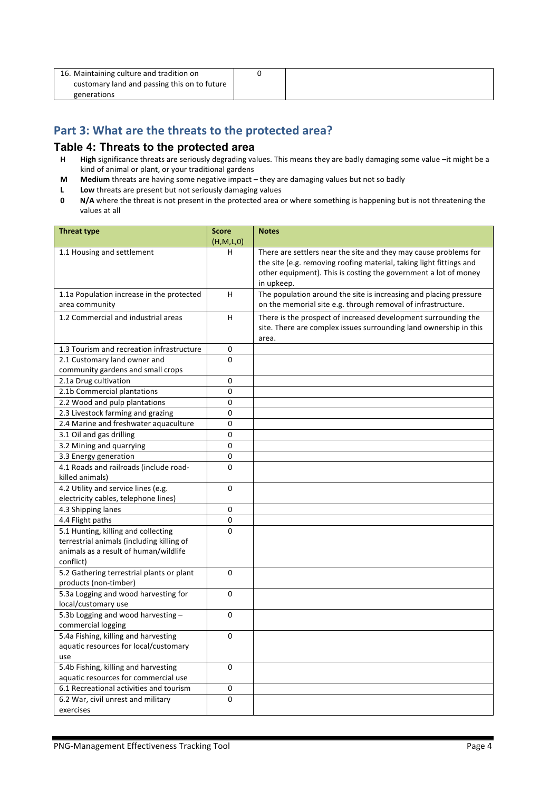| 16. Maintaining culture and tradition on     |  |
|----------------------------------------------|--|
| customary land and passing this on to future |  |
| generations                                  |  |

# Part 3: What are the threats to the protected area?

#### **Table 4: Threats to the protected area**

- **H High** significance threats are seriously degrading values. This means they are badly damaging some value –it might be a kind of animal or plant, or your traditional gardens
- **M** Medium threats are having some negative impact they are damaging values but not so badly
- **L** Low threats are present but not seriously damaging values<br>**0** N/A where the threat is not present in the protected area of
- **N/A** where the threat is not present in the protected area or where something is happening but is not threatening the values at all

| <b>Threat type</b>                                       | <b>Score</b>   | <b>Notes</b>                                                        |
|----------------------------------------------------------|----------------|---------------------------------------------------------------------|
| 1.1 Housing and settlement                               | (H,M,L,0)<br>н | There are settlers near the site and they may cause problems for    |
|                                                          |                | the site (e.g. removing roofing material, taking light fittings and |
|                                                          |                | other equipment). This is costing the government a lot of money     |
|                                                          |                | in upkeep.                                                          |
| 1.1a Population increase in the protected                | H.             | The population around the site is increasing and placing pressure   |
| area community                                           |                | on the memorial site e.g. through removal of infrastructure.        |
| 1.2 Commercial and industrial areas                      | н              | There is the prospect of increased development surrounding the      |
|                                                          |                | site. There are complex issues surrounding land ownership in this   |
|                                                          |                | area.                                                               |
| 1.3 Tourism and recreation infrastructure                | 0              |                                                                     |
| 2.1 Customary land owner and                             | $\Omega$       |                                                                     |
| community gardens and small crops                        |                |                                                                     |
| 2.1a Drug cultivation                                    | 0              |                                                                     |
| 2.1b Commercial plantations                              | 0              |                                                                     |
| 2.2 Wood and pulp plantations                            | 0              |                                                                     |
| 2.3 Livestock farming and grazing                        | 0              |                                                                     |
| 2.4 Marine and freshwater aquaculture                    | 0              |                                                                     |
| 3.1 Oil and gas drilling                                 | 0              |                                                                     |
| 3.2 Mining and quarrying                                 | 0              |                                                                     |
| 3.3 Energy generation                                    | 0              |                                                                     |
| 4.1 Roads and railroads (include road-                   | $\mathbf 0$    |                                                                     |
| killed animals)                                          |                |                                                                     |
| 4.2 Utility and service lines (e.g.                      | 0              |                                                                     |
| electricity cables, telephone lines)                     |                |                                                                     |
| 4.3 Shipping lanes                                       | 0              |                                                                     |
| 4.4 Flight paths                                         | 0              |                                                                     |
| 5.1 Hunting, killing and collecting                      | 0              |                                                                     |
| terrestrial animals (including killing of                |                |                                                                     |
| animals as a result of human/wildlife                    |                |                                                                     |
| conflict)                                                |                |                                                                     |
| 5.2 Gathering terrestrial plants or plant                | $\Omega$       |                                                                     |
| products (non-timber)                                    |                |                                                                     |
| 5.3a Logging and wood harvesting for                     | 0              |                                                                     |
| local/customary use                                      | 0              |                                                                     |
| 5.3b Logging and wood harvesting -<br>commercial logging |                |                                                                     |
| 5.4a Fishing, killing and harvesting                     | 0              |                                                                     |
| aquatic resources for local/customary                    |                |                                                                     |
| use                                                      |                |                                                                     |
| 5.4b Fishing, killing and harvesting                     | $\mathbf 0$    |                                                                     |
| aquatic resources for commercial use                     |                |                                                                     |
| 6.1 Recreational activities and tourism                  | 0              |                                                                     |
| 6.2 War, civil unrest and military                       | 0              |                                                                     |
| exercises                                                |                |                                                                     |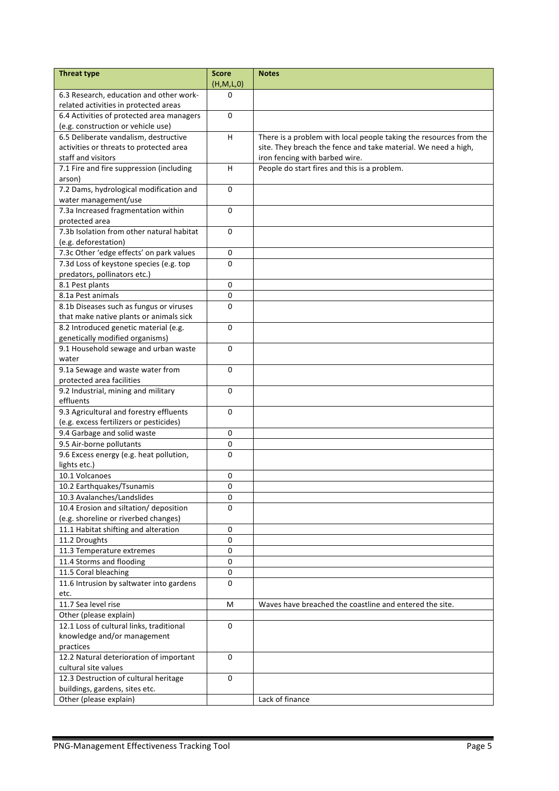| <b>Threat type</b>                                              | <b>Score</b><br>(H,M,L,0) | <b>Notes</b>                                                       |
|-----------------------------------------------------------------|---------------------------|--------------------------------------------------------------------|
| 6.3 Research, education and other work-                         | 0                         |                                                                    |
| related activities in protected areas                           |                           |                                                                    |
| 6.4 Activities of protected area managers                       | $\Omega$                  |                                                                    |
| (e.g. construction or vehicle use)                              |                           |                                                                    |
| 6.5 Deliberate vandalism, destructive                           | H                         | There is a problem with local people taking the resources from the |
| activities or threats to protected area                         |                           | site. They breach the fence and take material. We need a high,     |
| staff and visitors                                              |                           | iron fencing with barbed wire.                                     |
| 7.1 Fire and fire suppression (including                        | H.                        | People do start fires and this is a problem.                       |
| arson)                                                          |                           |                                                                    |
| 7.2 Dams, hydrological modification and                         | $\Omega$                  |                                                                    |
| water management/use                                            |                           |                                                                    |
| 7.3a Increased fragmentation within                             | $\Omega$                  |                                                                    |
| protected area                                                  |                           |                                                                    |
| 7.3b Isolation from other natural habitat                       | 0                         |                                                                    |
| (e.g. deforestation)                                            |                           |                                                                    |
| 7.3c Other 'edge effects' on park values                        | $\pmb{0}$                 |                                                                    |
| 7.3d Loss of keystone species (e.g. top                         | $\Omega$                  |                                                                    |
| predators, pollinators etc.)                                    |                           |                                                                    |
| 8.1 Pest plants                                                 | 0                         |                                                                    |
| 8.1a Pest animals                                               | 0                         |                                                                    |
| 8.1b Diseases such as fungus or viruses                         | $\Omega$                  |                                                                    |
| that make native plants or animals sick                         |                           |                                                                    |
| 8.2 Introduced genetic material (e.g.                           | 0                         |                                                                    |
| genetically modified organisms)                                 |                           |                                                                    |
| 9.1 Household sewage and urban waste                            | 0                         |                                                                    |
| water                                                           |                           |                                                                    |
| 9.1a Sewage and waste water from                                | $\Omega$                  |                                                                    |
| protected area facilities                                       |                           |                                                                    |
| 9.2 Industrial, mining and military                             | $\mathbf 0$               |                                                                    |
| effluents                                                       |                           |                                                                    |
| 9.3 Agricultural and forestry effluents                         | 0                         |                                                                    |
| (e.g. excess fertilizers or pesticides)                         |                           |                                                                    |
| 9.4 Garbage and solid waste                                     | 0                         |                                                                    |
| 9.5 Air-borne pollutants                                        | 0                         |                                                                    |
| 9.6 Excess energy (e.g. heat pollution,                         | 0                         |                                                                    |
| lights etc.)                                                    |                           |                                                                    |
| 10.1 Volcanoes                                                  | 0                         |                                                                    |
| 10.2 Earthquakes/Tsunamis                                       | 0                         |                                                                    |
| 10.3 Avalanches/Landslides                                      | 0                         |                                                                    |
| 10.4 Erosion and siltation/ deposition                          | 0                         |                                                                    |
| (e.g. shoreline or riverbed changes)                            |                           |                                                                    |
| 11.1 Habitat shifting and alteration                            | 0                         |                                                                    |
| 11.2 Droughts                                                   | 0                         |                                                                    |
| 11.3 Temperature extremes                                       | 0                         |                                                                    |
| 11.4 Storms and flooding                                        | $\mathbf 0$               |                                                                    |
| 11.5 Coral bleaching                                            | 0                         |                                                                    |
| 11.6 Intrusion by saltwater into gardens                        | 0                         |                                                                    |
| etc.                                                            |                           |                                                                    |
| 11.7 Sea level rise                                             | м                         | Waves have breached the coastline and entered the site.            |
| Other (please explain)                                          |                           |                                                                    |
| 12.1 Loss of cultural links, traditional                        | 0                         |                                                                    |
|                                                                 |                           |                                                                    |
| knowledge and/or management                                     |                           |                                                                    |
| practices                                                       |                           |                                                                    |
| 12.2 Natural deterioration of important<br>cultural site values | 0                         |                                                                    |
|                                                                 | 0                         |                                                                    |
| 12.3 Destruction of cultural heritage                           |                           |                                                                    |
| buildings, gardens, sites etc.                                  |                           |                                                                    |
| Other (please explain)                                          |                           | Lack of finance                                                    |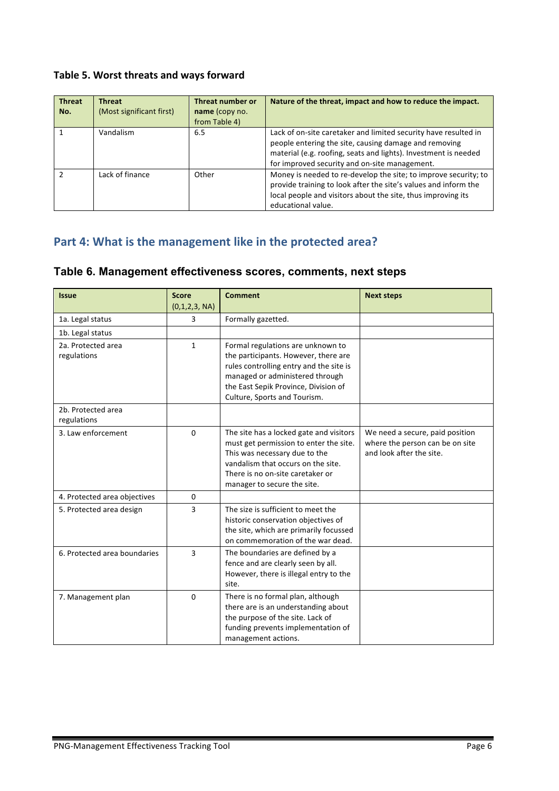### Table 5. Worst threats and ways forward

| <b>Threat</b><br>No. | <b>Threat</b><br>(Most significant first) | Threat number or<br>name (copy no.<br>from Table 4) | Nature of the threat, impact and how to reduce the impact.                                                                                                                                                                                   |
|----------------------|-------------------------------------------|-----------------------------------------------------|----------------------------------------------------------------------------------------------------------------------------------------------------------------------------------------------------------------------------------------------|
|                      | Vandalism                                 | 6.5                                                 | Lack of on-site caretaker and limited security have resulted in<br>people entering the site, causing damage and removing<br>material (e.g. roofing, seats and lights). Investment is needed<br>for improved security and on-site management. |
|                      | Lack of finance                           | Other                                               | Money is needed to re-develop the site; to improve security; to<br>provide training to look after the site's values and inform the<br>local people and visitors about the site, thus improving its<br>educational value.                     |

# Part 4: What is the management like in the protected area?

### **Table 6. Management effectiveness scores, comments, next steps**

| <b>Issue</b>                      | <b>Score</b>   | <b>Comment</b>                                                                                                                                                                                                                  | <b>Next steps</b>                                                                              |
|-----------------------------------|----------------|---------------------------------------------------------------------------------------------------------------------------------------------------------------------------------------------------------------------------------|------------------------------------------------------------------------------------------------|
|                                   | (0,1,2,3, NA)  |                                                                                                                                                                                                                                 |                                                                                                |
| 1a. Legal status                  | 3              | Formally gazetted.                                                                                                                                                                                                              |                                                                                                |
| 1b. Legal status                  |                |                                                                                                                                                                                                                                 |                                                                                                |
| 2a. Protected area<br>regulations | $\mathbf{1}$   | Formal regulations are unknown to<br>the participants. However, there are<br>rules controlling entry and the site is<br>managed or administered through<br>the East Sepik Province, Division of<br>Culture, Sports and Tourism. |                                                                                                |
| 2b. Protected area<br>regulations |                |                                                                                                                                                                                                                                 |                                                                                                |
| 3. Law enforcement                | $\Omega$       | The site has a locked gate and visitors<br>must get permission to enter the site.<br>This was necessary due to the<br>vandalism that occurs on the site.<br>There is no on-site caretaker or<br>manager to secure the site.     | We need a secure, paid position<br>where the person can be on site<br>and look after the site. |
| 4. Protected area objectives      | 0              |                                                                                                                                                                                                                                 |                                                                                                |
| 5. Protected area design          | 3              | The size is sufficient to meet the<br>historic conservation objectives of<br>the site, which are primarily focussed<br>on commemoration of the war dead.                                                                        |                                                                                                |
| 6. Protected area boundaries      | $\overline{3}$ | The boundaries are defined by a<br>fence and are clearly seen by all.<br>However, there is illegal entry to the<br>site.                                                                                                        |                                                                                                |
| 7. Management plan                | $\Omega$       | There is no formal plan, although<br>there are is an understanding about<br>the purpose of the site. Lack of<br>funding prevents implementation of<br>management actions.                                                       |                                                                                                |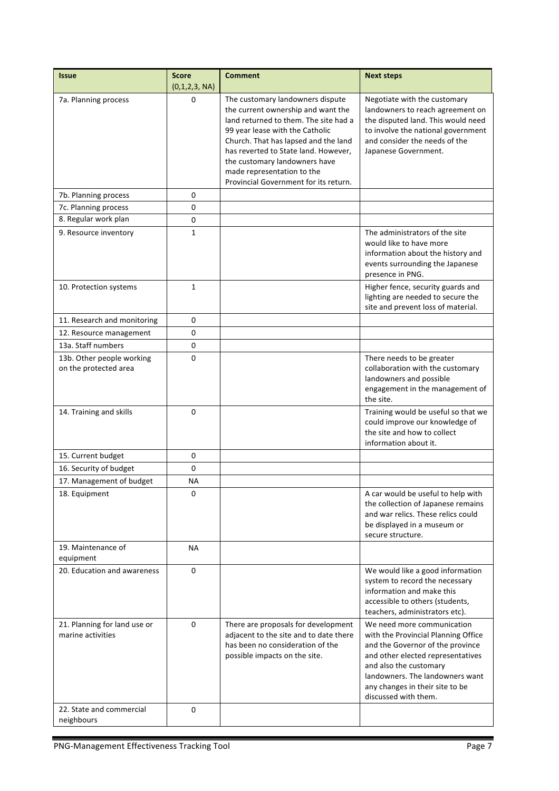| <b>Issue</b>                                       | <b>Score</b><br>(0,1,2,3, NA) | <b>Comment</b>                                                                                                                                                                                                                                                                                                                             | <b>Next steps</b>                                                                                                                                                                                                                                                  |
|----------------------------------------------------|-------------------------------|--------------------------------------------------------------------------------------------------------------------------------------------------------------------------------------------------------------------------------------------------------------------------------------------------------------------------------------------|--------------------------------------------------------------------------------------------------------------------------------------------------------------------------------------------------------------------------------------------------------------------|
| 7a. Planning process                               | 0                             | The customary landowners dispute<br>the current ownership and want the<br>land returned to them. The site had a<br>99 year lease with the Catholic<br>Church. That has lapsed and the land<br>has reverted to State land. However,<br>the customary landowners have<br>made representation to the<br>Provincial Government for its return. | Negotiate with the customary<br>landowners to reach agreement on<br>the disputed land. This would need<br>to involve the national government<br>and consider the needs of the<br>Japanese Government.                                                              |
| 7b. Planning process                               | 0                             |                                                                                                                                                                                                                                                                                                                                            |                                                                                                                                                                                                                                                                    |
| 7c. Planning process                               | 0                             |                                                                                                                                                                                                                                                                                                                                            |                                                                                                                                                                                                                                                                    |
| 8. Regular work plan                               | 0                             |                                                                                                                                                                                                                                                                                                                                            |                                                                                                                                                                                                                                                                    |
| 9. Resource inventory                              | $\mathbf{1}$                  |                                                                                                                                                                                                                                                                                                                                            | The administrators of the site<br>would like to have more<br>information about the history and<br>events surrounding the Japanese<br>presence in PNG.                                                                                                              |
| 10. Protection systems                             | $\mathbf{1}$                  |                                                                                                                                                                                                                                                                                                                                            | Higher fence, security guards and<br>lighting are needed to secure the<br>site and prevent loss of material.                                                                                                                                                       |
| 11. Research and monitoring                        | 0                             |                                                                                                                                                                                                                                                                                                                                            |                                                                                                                                                                                                                                                                    |
| 12. Resource management                            | 0                             |                                                                                                                                                                                                                                                                                                                                            |                                                                                                                                                                                                                                                                    |
| 13a. Staff numbers                                 | 0                             |                                                                                                                                                                                                                                                                                                                                            |                                                                                                                                                                                                                                                                    |
| 13b. Other people working<br>on the protected area | $\Omega$                      |                                                                                                                                                                                                                                                                                                                                            | There needs to be greater<br>collaboration with the customary<br>landowners and possible<br>engagement in the management of<br>the site.                                                                                                                           |
| 14. Training and skills                            | 0                             |                                                                                                                                                                                                                                                                                                                                            | Training would be useful so that we<br>could improve our knowledge of<br>the site and how to collect<br>information about it.                                                                                                                                      |
| 15. Current budget                                 | 0                             |                                                                                                                                                                                                                                                                                                                                            |                                                                                                                                                                                                                                                                    |
| 16. Security of budget                             | 0                             |                                                                                                                                                                                                                                                                                                                                            |                                                                                                                                                                                                                                                                    |
| 17. Management of budget                           | NА                            |                                                                                                                                                                                                                                                                                                                                            |                                                                                                                                                                                                                                                                    |
| 18. Equipment                                      | 0                             |                                                                                                                                                                                                                                                                                                                                            | A car would be useful to help with<br>the collection of Japanese remains<br>and war relics. These relics could<br>be displayed in a museum or<br>secure structure.                                                                                                 |
| 19. Maintenance of<br>equipment                    | <b>NA</b>                     |                                                                                                                                                                                                                                                                                                                                            |                                                                                                                                                                                                                                                                    |
| 20. Education and awareness                        | 0                             |                                                                                                                                                                                                                                                                                                                                            | We would like a good information<br>system to record the necessary<br>information and make this<br>accessible to others (students,<br>teachers, administrators etc).                                                                                               |
| 21. Planning for land use or<br>marine activities  | 0                             | There are proposals for development<br>adjacent to the site and to date there<br>has been no consideration of the<br>possible impacts on the site.                                                                                                                                                                                         | We need more communication<br>with the Provincial Planning Office<br>and the Governor of the province<br>and other elected representatives<br>and also the customary<br>landowners. The landowners want<br>any changes in their site to be<br>discussed with them. |
| 22. State and commercial<br>neighbours             | 0                             |                                                                                                                                                                                                                                                                                                                                            |                                                                                                                                                                                                                                                                    |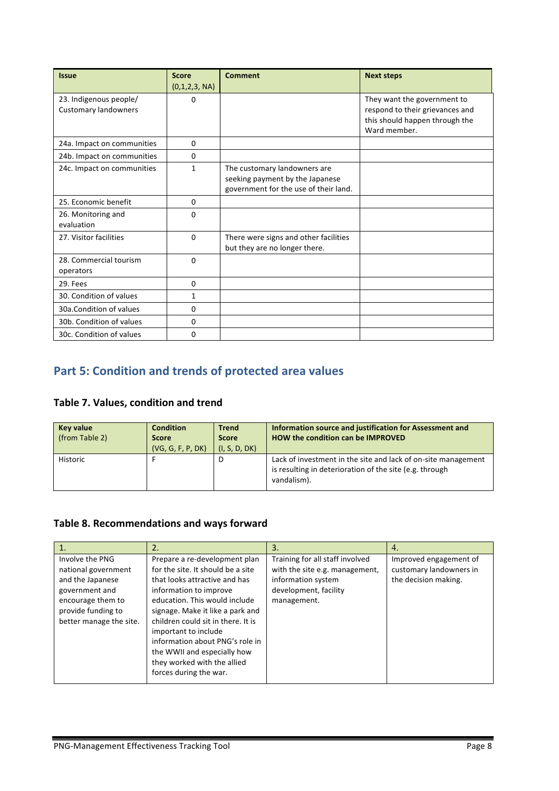| <b>Issue</b>                                          | <b>Score</b><br>(0,1,2,3, NA) | <b>Comment</b>                                                                                           | <b>Next steps</b>                                                                                                |
|-------------------------------------------------------|-------------------------------|----------------------------------------------------------------------------------------------------------|------------------------------------------------------------------------------------------------------------------|
| 23. Indigenous people/<br><b>Customary landowners</b> | 0                             |                                                                                                          | They want the government to<br>respond to their grievances and<br>this should happen through the<br>Ward member. |
| 24a. Impact on communities                            | $\Omega$                      |                                                                                                          |                                                                                                                  |
| 24b. Impact on communities                            | 0                             |                                                                                                          |                                                                                                                  |
| 24c. Impact on communities                            | 1                             | The customary landowners are<br>seeking payment by the Japanese<br>government for the use of their land. |                                                                                                                  |
| 25. Economic benefit                                  | $\mathbf{0}$                  |                                                                                                          |                                                                                                                  |
| 26. Monitoring and<br>evaluation                      | 0                             |                                                                                                          |                                                                                                                  |
| 27. Visitor facilities                                | $\mathbf{0}$                  | There were signs and other facilities<br>but they are no longer there.                                   |                                                                                                                  |
| 28. Commercial tourism<br>operators                   | $\Omega$                      |                                                                                                          |                                                                                                                  |
| 29. Fees                                              | 0                             |                                                                                                          |                                                                                                                  |
| 30. Condition of values                               | 1                             |                                                                                                          |                                                                                                                  |
| 30a. Condition of values                              | $\Omega$                      |                                                                                                          |                                                                                                                  |
| 30b. Condition of values                              | 0                             |                                                                                                          |                                                                                                                  |
| 30c. Condition of values                              | 0                             |                                                                                                          |                                                                                                                  |

# **Part 5: Condition and trends of protected area values**

# **Table 7. Values, condition and trend**

| <b>Key value</b><br>(from Table 2) | <b>Condition</b><br><b>Score</b><br>(VG, G, F, P, DK) | <b>Trend</b><br><b>Score</b><br>(I, S, D, DK) | Information source and justification for Assessment and<br>HOW the condition can be IMPROVED                                            |
|------------------------------------|-------------------------------------------------------|-----------------------------------------------|-----------------------------------------------------------------------------------------------------------------------------------------|
| Historic                           |                                                       | D                                             | Lack of investment in the site and lack of on-site management<br>is resulting in deterioration of the site (e.g. through<br>vandalism). |

## Table 8. Recommendations and ways forward

|                                                                                                                         | 2.                                                                                                                                                                                                 | 3.                                                                                                                              | 4.                                                                        |
|-------------------------------------------------------------------------------------------------------------------------|----------------------------------------------------------------------------------------------------------------------------------------------------------------------------------------------------|---------------------------------------------------------------------------------------------------------------------------------|---------------------------------------------------------------------------|
| Involve the PNG<br>national government<br>and the Japanese<br>government and<br>encourage them to<br>provide funding to | Prepare a re-development plan<br>for the site. It should be a site<br>that looks attractive and has<br>information to improve<br>education. This would include<br>signage. Make it like a park and | Training for all staff involved<br>with the site e.g. management,<br>information system<br>development, facility<br>management. | Improved engagement of<br>customary landowners in<br>the decision making. |
| better manage the site.                                                                                                 | children could sit in there. It is<br>important to include<br>information about PNG's role in<br>the WWII and especially how<br>they worked with the allied<br>forces during the war.              |                                                                                                                                 |                                                                           |